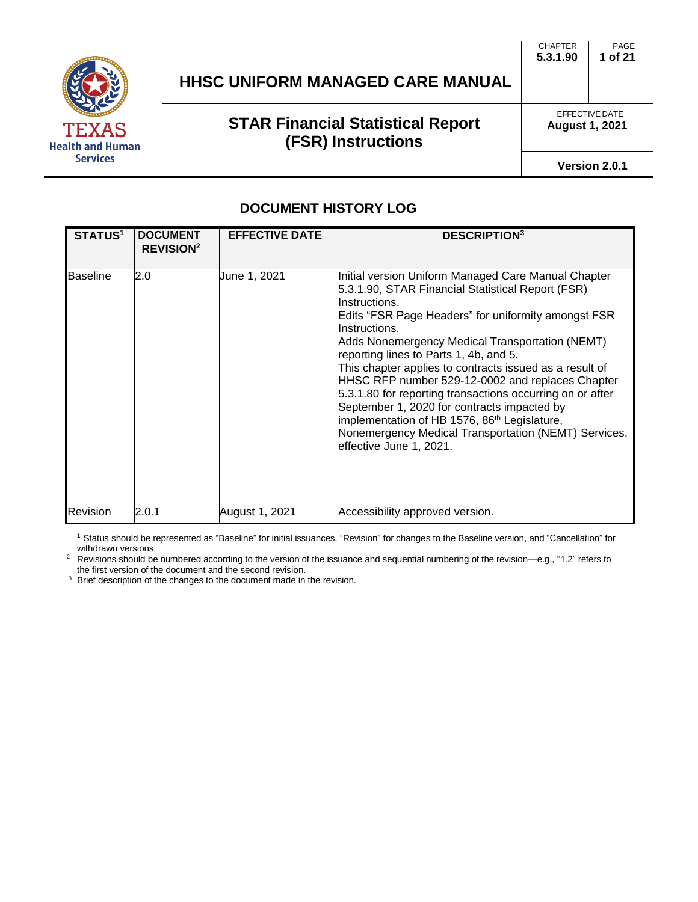

# **STAR Financial Statistical Report (FSR) Instructions**

EFFECTIVE DATE **August 1, 2021**

**Version 2.0.1**

#### **DOCUMENT HISTORY LOG**

| <b>STATUS1</b>  | <b>DOCUMENT</b><br><b>REVISION<sup>2</sup></b> | <b>EFFECTIVE DATE</b> | <b>DESCRIPTION</b> <sup>3</sup>                                                                                                                                                                                                                                                                                                                                                                                                                                                                                                                                                                                                                                          |
|-----------------|------------------------------------------------|-----------------------|--------------------------------------------------------------------------------------------------------------------------------------------------------------------------------------------------------------------------------------------------------------------------------------------------------------------------------------------------------------------------------------------------------------------------------------------------------------------------------------------------------------------------------------------------------------------------------------------------------------------------------------------------------------------------|
| <b>Baseline</b> | 2.0                                            | June 1, 2021          | Initial version Uniform Managed Care Manual Chapter<br>5.3.1.90, STAR Financial Statistical Report (FSR)<br>Instructions.<br>Edits "FSR Page Headers" for uniformity amongst FSR<br>Instructions.<br>Adds Nonemergency Medical Transportation (NEMT)<br>reporting lines to Parts 1, 4b, and 5.<br>This chapter applies to contracts issued as a result of<br>HHSC RFP number 529-12-0002 and replaces Chapter<br>5.3.1.80 for reporting transactions occurring on or after<br>September 1, 2020 for contracts impacted by<br>implementation of HB 1576, 86 <sup>th</sup> Legislature,<br>Nonemergency Medical Transportation (NEMT) Services,<br>effective June 1, 2021. |
| <b>Revision</b> | 2.0.1                                          | August 1, 2021        | Accessibility approved version.                                                                                                                                                                                                                                                                                                                                                                                                                                                                                                                                                                                                                                          |

**<sup>1</sup>**Status should be represented as "Baseline" for initial issuances, "Revision" for changes to the Baseline version, and "Cancellation" for withdrawn versions.

<sup>2</sup> Revisions should be numbered according to the version of the issuance and sequential numbering of the revision—e.g., "1.2" refers to the first version of the document and the second revision.

<sup>3</sup> Brief description of the changes to the document made in the revision.

PAGE **1 of 21** CHAPTER **5.3.1.90**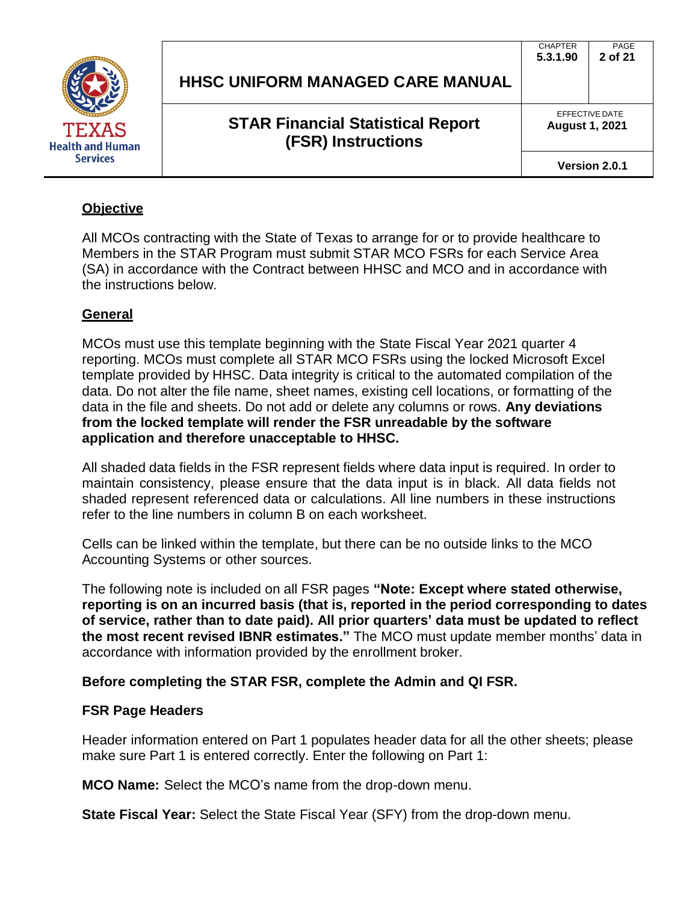

| <b>HHSC UNIFORM MANAGED CARE MANUAL</b> | 5.3.1.90 |
|-----------------------------------------|----------|
|                                         |          |

EFFECTIVE DATE **August 1, 2021**

PAGE **2 of 21**

CHAPTER

**Version 2.0.1**

## **Objective**

All MCOs contracting with the State of Texas to arrange for or to provide healthcare to Members in the STAR Program must submit STAR MCO FSRs for each Service Area (SA) in accordance with the Contract between HHSC and MCO and in accordance with the instructions below.

## **General**

MCOs must use this template beginning with the State Fiscal Year 2021 quarter 4 reporting. MCOs must complete all STAR MCO FSRs using the locked Microsoft Excel template provided by HHSC. Data integrity is critical to the automated compilation of the data. Do not alter the file name, sheet names, existing cell locations, or formatting of the data in the file and sheets. Do not add or delete any columns or rows. **Any deviations from the locked template will render the FSR unreadable by the software application and therefore unacceptable to HHSC.**

All shaded data fields in the FSR represent fields where data input is required. In order to maintain consistency, please ensure that the data input is in black. All data fields not shaded represent referenced data or calculations. All line numbers in these instructions refer to the line numbers in column B on each worksheet.

Cells can be linked within the template, but there can be no outside links to the MCO Accounting Systems or other sources.

The following note is included on all FSR pages **"Note: Except where stated otherwise, reporting is on an incurred basis (that is, reported in the period corresponding to dates of service, rather than to date paid). All prior quarters' data must be updated to reflect the most recent revised IBNR estimates."** The MCO must update member months' data in accordance with information provided by the enrollment broker.

## **Before completing the STAR FSR, complete the Admin and QI FSR.**

## **FSR Page Headers**

Header information entered on Part 1 populates header data for all the other sheets; please make sure Part 1 is entered correctly. Enter the following on Part 1:

**MCO Name:** Select the MCO's name from the drop-down menu.

**State Fiscal Year:** Select the State Fiscal Year (SFY) from the drop-down menu.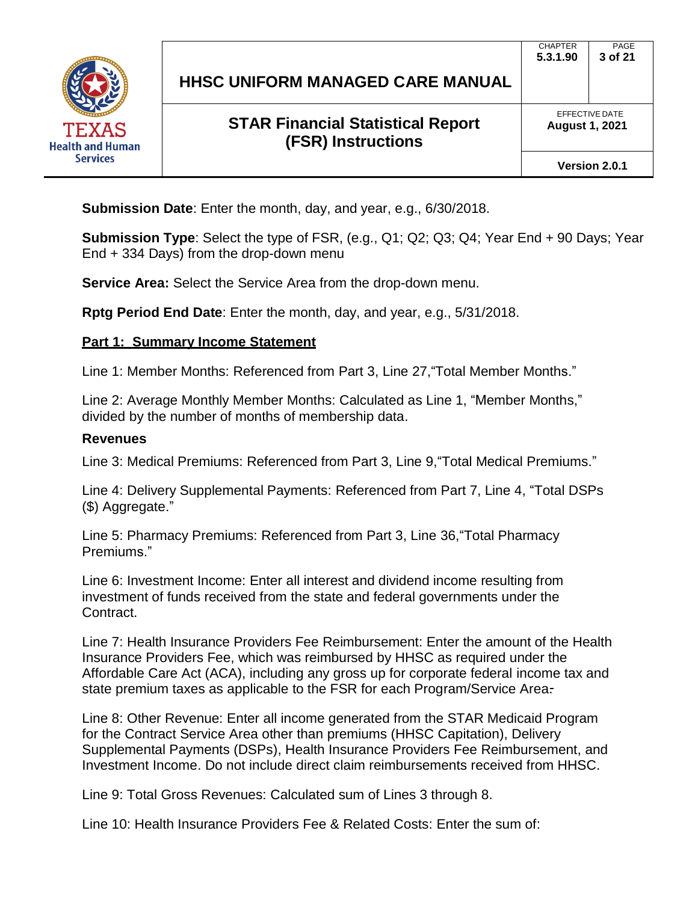

EFFECTIVE DATE **August 1, 2021**

**Version 2.0.1**

**Submission Date**: Enter the month, day, and year, e.g., 6/30/2018.

**Submission Type**: Select the type of FSR, (e.g., Q1; Q2; Q3; Q4; Year End + 90 Days; Year End + 334 Days) from the drop-down menu

**Service Area:** Select the Service Area from the drop-down menu.

**Rptg Period End Date**: Enter the month, day, and year, e.g., 5/31/2018.

#### **Part 1: Summary Income Statement**

Line 1: Member Months: Referenced from Part 3, Line 27,"Total Member Months."

Line 2: Average Monthly Member Months: Calculated as Line 1, "Member Months," divided by the number of months of membership data.

#### **Revenues**

Line 3: Medical Premiums: Referenced from Part 3, Line 9,"Total Medical Premiums."

Line 4: Delivery Supplemental Payments: Referenced from Part 7, Line 4, "Total DSPs (\$) Aggregate."

Line 5: Pharmacy Premiums: Referenced from Part 3, Line 36,"Total Pharmacy Premiums."

Line 6: Investment Income: Enter all interest and dividend income resulting from investment of funds received from the state and federal governments under the Contract.

Line 7: Health Insurance Providers Fee Reimbursement: Enter the amount of the Health Insurance Providers Fee, which was reimbursed by HHSC as required under the Affordable Care Act (ACA), including any gross up for corporate federal income tax and state premium taxes as applicable to the FSR for each Program/Service Area.

Line 8: Other Revenue: Enter all income generated from the STAR Medicaid Program for the Contract Service Area other than premiums (HHSC Capitation), Delivery Supplemental Payments (DSPs), Health Insurance Providers Fee Reimbursement, and Investment Income. Do not include direct claim reimbursements received from HHSC.

Line 9: Total Gross Revenues: Calculated sum of Lines 3 through 8.

Line 10: Health Insurance Providers Fee & Related Costs: Enter the sum of: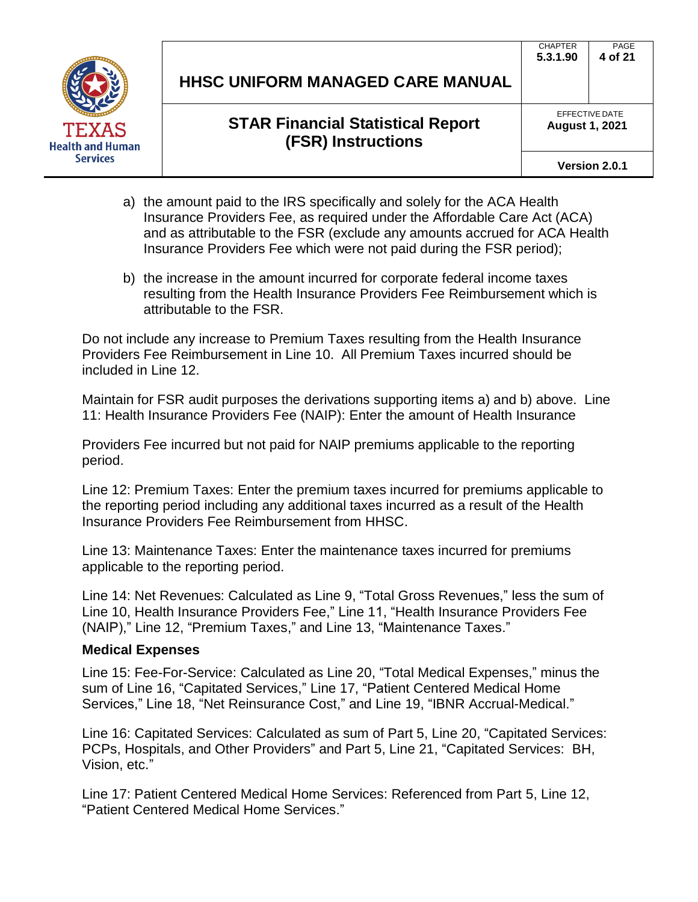

EFFECTIVE DATE **August 1, 2021**

**Version 2.0.1**

- a) the amount paid to the IRS specifically and solely for the ACA Health Insurance Providers Fee, as required under the Affordable Care Act (ACA) and as attributable to the FSR (exclude any amounts accrued for ACA Health Insurance Providers Fee which were not paid during the FSR period);
- b) the increase in the amount incurred for corporate federal income taxes resulting from the Health Insurance Providers Fee Reimbursement which is attributable to the FSR.

Do not include any increase to Premium Taxes resulting from the Health Insurance Providers Fee Reimbursement in Line 10. All Premium Taxes incurred should be included in Line 12.

Maintain for FSR audit purposes the derivations supporting items a) and b) above. Line 11: Health Insurance Providers Fee (NAIP): Enter the amount of Health Insurance

Providers Fee incurred but not paid for NAIP premiums applicable to the reporting period.

Line 12: Premium Taxes: Enter the premium taxes incurred for premiums applicable to the reporting period including any additional taxes incurred as a result of the Health Insurance Providers Fee Reimbursement from HHSC.

Line 13: Maintenance Taxes: Enter the maintenance taxes incurred for premiums applicable to the reporting period.

Line 14: Net Revenues: Calculated as Line 9, "Total Gross Revenues," less the sum of Line 10, Health Insurance Providers Fee," Line 11, "Health Insurance Providers Fee (NAIP)," Line 12, "Premium Taxes," and Line 13, "Maintenance Taxes."

#### **Medical Expenses**

Line 15: Fee-For-Service: Calculated as Line 20, "Total Medical Expenses," minus the sum of Line 16, "Capitated Services," Line 17, "Patient Centered Medical Home Services," Line 18, "Net Reinsurance Cost," and Line 19, "IBNR Accrual-Medical."

Line 16: Capitated Services: Calculated as sum of Part 5, Line 20, "Capitated Services: PCPs, Hospitals, and Other Providers" and Part 5, Line 21, "Capitated Services: BH, Vision, etc."

Line 17: Patient Centered Medical Home Services: Referenced from Part 5, Line 12, "Patient Centered Medical Home Services."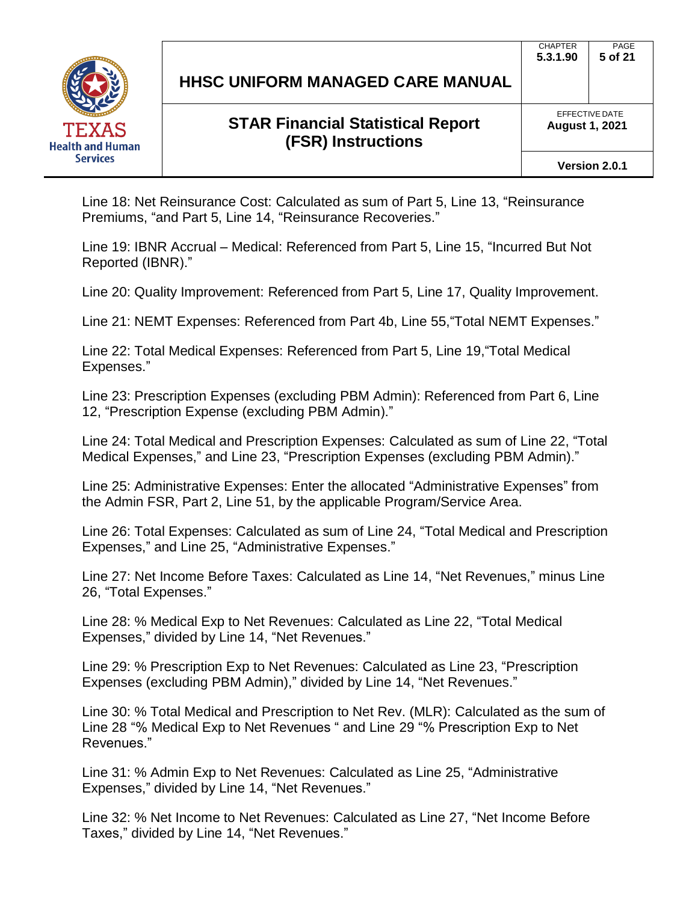

## **STAR Financial Statistical Report (FSR) Instructions**

PAGE

EFFECTIVE DATE **August 1, 2021**

**Version 2.0.1**

Line 18: Net Reinsurance Cost: Calculated as sum of Part 5, Line 13, "Reinsurance Premiums, "and Part 5, Line 14, "Reinsurance Recoveries."

Line 19: IBNR Accrual – Medical: Referenced from Part 5, Line 15, "Incurred But Not Reported (IBNR)."

Line 20: Quality Improvement: Referenced from Part 5, Line 17, Quality Improvement.

Line 21: NEMT Expenses: Referenced from Part 4b, Line 55,"Total NEMT Expenses."

Line 22: Total Medical Expenses: Referenced from Part 5, Line 19,"Total Medical Expenses."

Line 23: Prescription Expenses (excluding PBM Admin): Referenced from Part 6, Line 12, "Prescription Expense (excluding PBM Admin)."

Line 24: Total Medical and Prescription Expenses: Calculated as sum of Line 22, "Total Medical Expenses," and Line 23, "Prescription Expenses (excluding PBM Admin)."

Line 25: Administrative Expenses: Enter the allocated "Administrative Expenses" from the Admin FSR, Part 2, Line 51, by the applicable Program/Service Area.

Line 26: Total Expenses: Calculated as sum of Line 24, "Total Medical and Prescription Expenses," and Line 25, "Administrative Expenses."

Line 27: Net Income Before Taxes: Calculated as Line 14, "Net Revenues," minus Line 26, "Total Expenses."

Line 28: % Medical Exp to Net Revenues: Calculated as Line 22, "Total Medical Expenses," divided by Line 14, "Net Revenues."

Line 29: % Prescription Exp to Net Revenues: Calculated as Line 23, "Prescription Expenses (excluding PBM Admin)," divided by Line 14, "Net Revenues."

Line 30: % Total Medical and Prescription to Net Rev. (MLR): Calculated as the sum of Line 28 "% Medical Exp to Net Revenues " and Line 29 "% Prescription Exp to Net Revenues."

Line 31: % Admin Exp to Net Revenues: Calculated as Line 25, "Administrative Expenses," divided by Line 14, "Net Revenues."

Line 32: % Net Income to Net Revenues: Calculated as Line 27, "Net Income Before Taxes," divided by Line 14, "Net Revenues."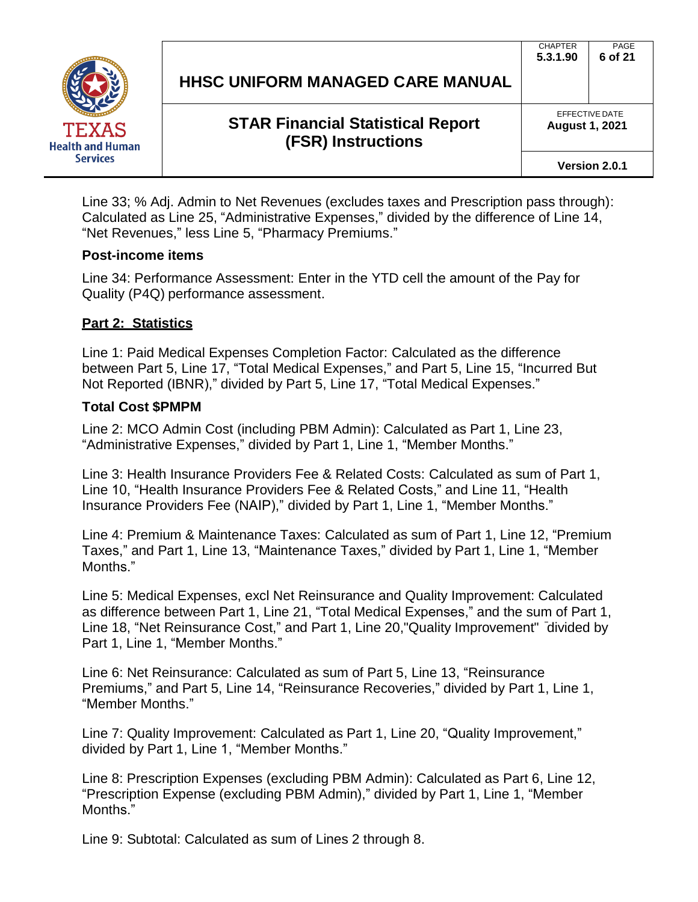

## **STAR Financial Statistical Report (FSR) Instructions**

EFFECTIVE DATE

PAGE **6 of 21**

**CHAPTER 5.3.1.90**

**August 1, 2021**

Line 33; % Adj. Admin to Net Revenues (excludes taxes and Prescription pass through): Calculated as Line 25, "Administrative Expenses," divided by the difference of Line 14, "Net Revenues," less Line 5, "Pharmacy Premiums."

#### **Post-income items**

Line 34: Performance Assessment: Enter in the YTD cell the amount of the Pay for Quality (P4Q) performance assessment.

#### **Part 2: Statistics**

Line 1: Paid Medical Expenses Completion Factor: Calculated as the difference between Part 5, Line 17, "Total Medical Expenses," and Part 5, Line 15, "Incurred But Not Reported (IBNR)," divided by Part 5, Line 17, "Total Medical Expenses."

#### **Total Cost \$PMPM**

Line 2: MCO Admin Cost (including PBM Admin): Calculated as Part 1, Line 23, "Administrative Expenses," divided by Part 1, Line 1, "Member Months."

Line 3: Health Insurance Providers Fee & Related Costs: Calculated as sum of Part 1, Line 10, "Health Insurance Providers Fee & Related Costs," and Line 11, "Health Insurance Providers Fee (NAIP)," divided by Part 1, Line 1, "Member Months."

Line 4: Premium & Maintenance Taxes: Calculated as sum of Part 1, Line 12, "Premium Taxes," and Part 1, Line 13, "Maintenance Taxes," divided by Part 1, Line 1, "Member Months."

Line 5: Medical Expenses, excl Net Reinsurance and Quality Improvement: Calculated as difference between Part 1, Line 21, "Total Medical Expenses," and the sum of Part 1, Line 18, "Net Reinsurance Cost," and Part 1, Line 20,"Quality Improvement" divided by Part 1, Line 1, "Member Months."

Line 6: Net Reinsurance: Calculated as sum of Part 5, Line 13, "Reinsurance Premiums," and Part 5, Line 14, "Reinsurance Recoveries," divided by Part 1, Line 1, "Member Months."

Line 7: Quality Improvement: Calculated as Part 1, Line 20, "Quality Improvement," divided by Part 1, Line 1, "Member Months."

Line 8: Prescription Expenses (excluding PBM Admin): Calculated as Part 6, Line 12, "Prescription Expense (excluding PBM Admin)," divided by Part 1, Line 1, "Member Months."

Line 9: Subtotal: Calculated as sum of Lines 2 through 8.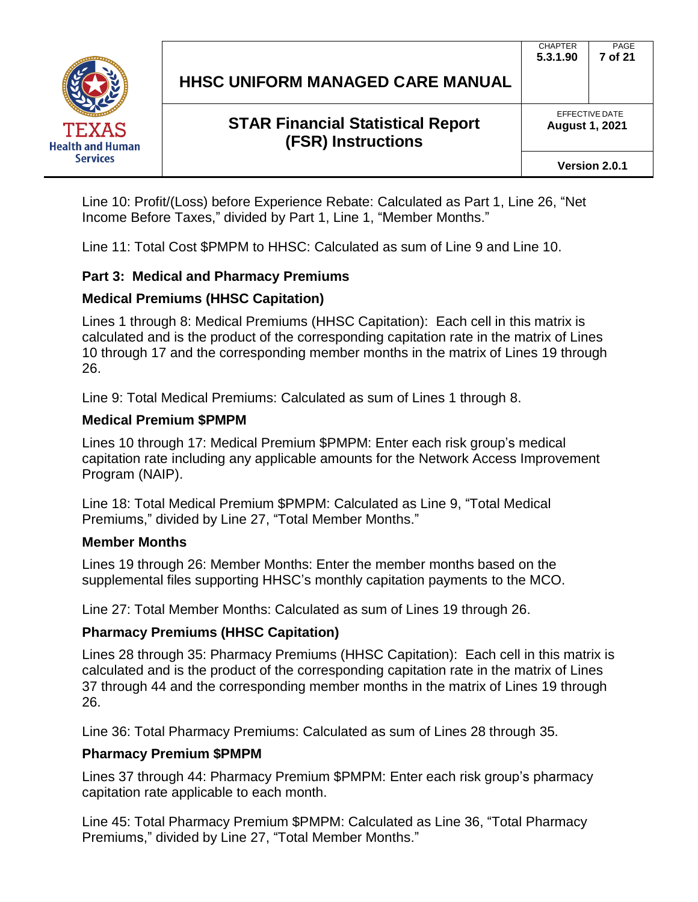

# **STAR Financial Statistical Report (FSR) Instructions**

EFFECTIVE DATE **August 1, 2021**

**Version 2.0.1**

Line 10: Profit/(Loss) before Experience Rebate: Calculated as Part 1, Line 26, "Net Income Before Taxes," divided by Part 1, Line 1, "Member Months."

Line 11: Total Cost \$PMPM to HHSC: Calculated as sum of Line 9 and Line 10.

#### **Part 3: Medical and Pharmacy Premiums**

#### **Medical Premiums (HHSC Capitation)**

Lines 1 through 8: Medical Premiums (HHSC Capitation): Each cell in this matrix is calculated and is the product of the corresponding capitation rate in the matrix of Lines 10 through 17 and the corresponding member months in the matrix of Lines 19 through 26.

Line 9: Total Medical Premiums: Calculated as sum of Lines 1 through 8.

#### **Medical Premium \$PMPM**

Lines 10 through 17: Medical Premium \$PMPM: Enter each risk group's medical capitation rate including any applicable amounts for the Network Access Improvement Program (NAIP).

Line 18: Total Medical Premium \$PMPM: Calculated as Line 9, "Total Medical Premiums," divided by Line 27, "Total Member Months."

#### **Member Months**

Lines 19 through 26: Member Months: Enter the member months based on the supplemental files supporting HHSC's monthly capitation payments to the MCO.

Line 27: Total Member Months: Calculated as sum of Lines 19 through 26.

#### **Pharmacy Premiums (HHSC Capitation)**

Lines 28 through 35: Pharmacy Premiums (HHSC Capitation): Each cell in this matrix is calculated and is the product of the corresponding capitation rate in the matrix of Lines 37 through 44 and the corresponding member months in the matrix of Lines 19 through 26.

Line 36: Total Pharmacy Premiums: Calculated as sum of Lines 28 through 35.

#### **Pharmacy Premium \$PMPM**

Lines 37 through 44: Pharmacy Premium \$PMPM: Enter each risk group's pharmacy capitation rate applicable to each month.

Line 45: Total Pharmacy Premium \$PMPM: Calculated as Line 36, "Total Pharmacy Premiums," divided by Line 27, "Total Member Months."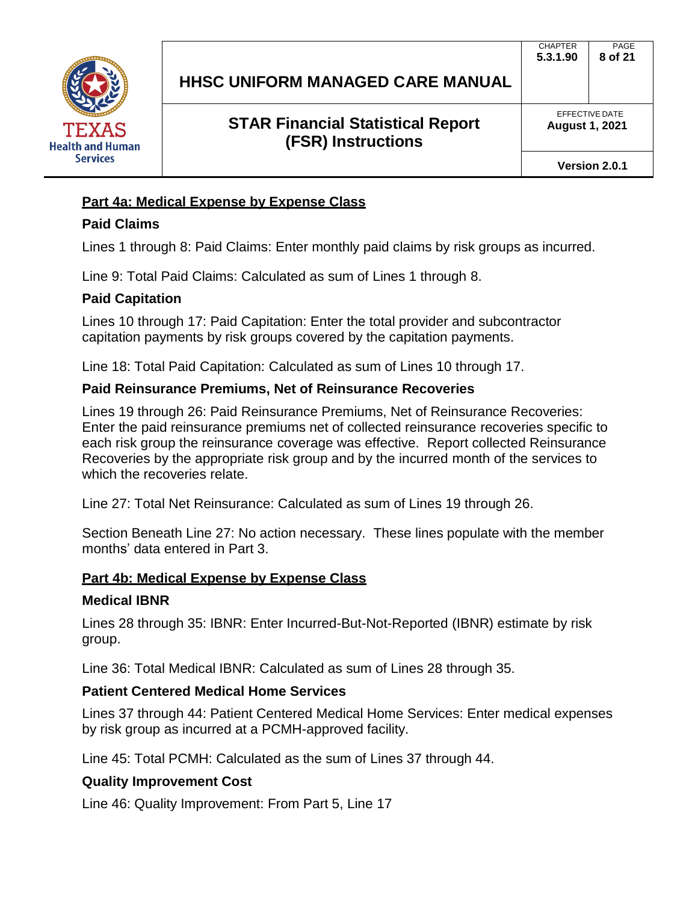

EFFECTIVE DATE **August 1, 2021**

**Version 2.0.1**

## **Part 4a: Medical Expense by Expense Class**

## **Paid Claims**

Lines 1 through 8: Paid Claims: Enter monthly paid claims by risk groups as incurred.

Line 9: Total Paid Claims: Calculated as sum of Lines 1 through 8.

## **Paid Capitation**

Lines 10 through 17: Paid Capitation: Enter the total provider and subcontractor capitation payments by risk groups covered by the capitation payments.

Line 18: Total Paid Capitation: Calculated as sum of Lines 10 through 17.

## **Paid Reinsurance Premiums, Net of Reinsurance Recoveries**

Lines 19 through 26: Paid Reinsurance Premiums, Net of Reinsurance Recoveries: Enter the paid reinsurance premiums net of collected reinsurance recoveries specific to each risk group the reinsurance coverage was effective. Report collected Reinsurance Recoveries by the appropriate risk group and by the incurred month of the services to which the recoveries relate.

Line 27: Total Net Reinsurance: Calculated as sum of Lines 19 through 26.

Section Beneath Line 27: No action necessary. These lines populate with the member months' data entered in Part 3.

## **Part 4b: Medical Expense by Expense Class**

## **Medical IBNR**

Lines 28 through 35: IBNR: Enter Incurred-But-Not-Reported (IBNR) estimate by risk group.

Line 36: Total Medical IBNR: Calculated as sum of Lines 28 through 35.

## **Patient Centered Medical Home Services**

Lines 37 through 44: Patient Centered Medical Home Services: Enter medical expenses by risk group as incurred at a PCMH-approved facility.

Line 45: Total PCMH: Calculated as the sum of Lines 37 through 44.

## **Quality Improvement Cost**

Line 46: Quality Improvement: From Part 5, Line 17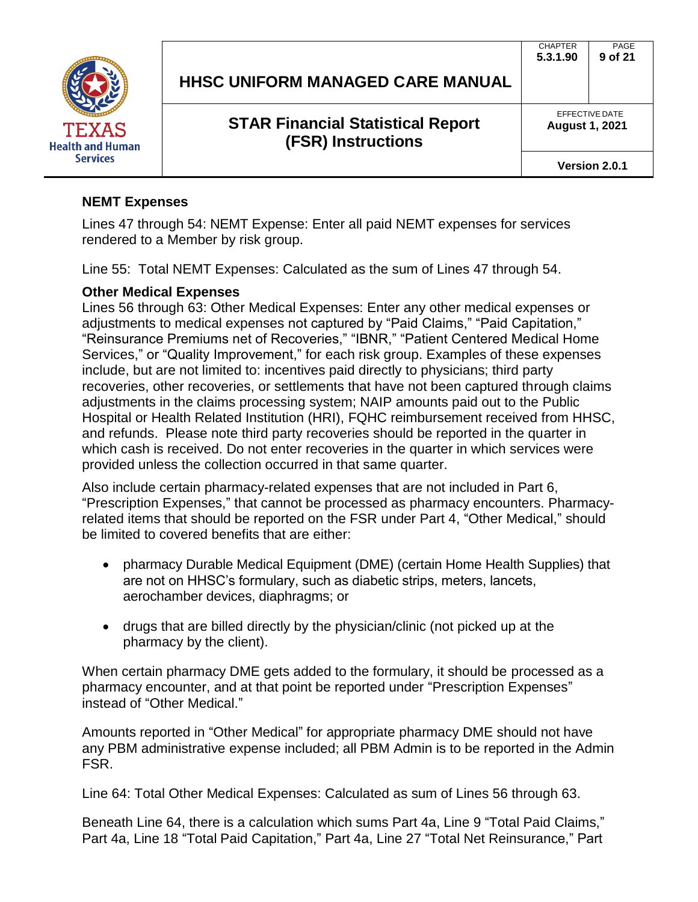

|  |  |  | HHSC UNIFORM MANAGED CARE MANUAL |  |  |
|--|--|--|----------------------------------|--|--|
|--|--|--|----------------------------------|--|--|

EFFECTIVE DATE **August 1, 2021**

**Version 2.0.1**

#### **NEMT Expenses**

Lines 47 through 54: NEMT Expense: Enter all paid NEMT expenses for services rendered to a Member by risk group.

Line 55: Total NEMT Expenses: Calculated as the sum of Lines 47 through 54.

#### **Other Medical Expenses**

Lines 56 through 63: Other Medical Expenses: Enter any other medical expenses or adjustments to medical expenses not captured by "Paid Claims," "Paid Capitation," "Reinsurance Premiums net of Recoveries," "IBNR," "Patient Centered Medical Home Services," or "Quality Improvement," for each risk group. Examples of these expenses include, but are not limited to: incentives paid directly to physicians; third party recoveries, other recoveries, or settlements that have not been captured through claims adjustments in the claims processing system; NAIP amounts paid out to the Public Hospital or Health Related Institution (HRI), FQHC reimbursement received from HHSC, and refunds. Please note third party recoveries should be reported in the quarter in which cash is received. Do not enter recoveries in the quarter in which services were provided unless the collection occurred in that same quarter.

Also include certain pharmacy-related expenses that are not included in Part 6, "Prescription Expenses," that cannot be processed as pharmacy encounters. Pharmacyrelated items that should be reported on the FSR under Part 4, "Other Medical," should be limited to covered benefits that are either:

- pharmacy Durable Medical Equipment (DME) (certain Home Health Supplies) that are not on HHSC's formulary, such as diabetic strips, meters, lancets, aerochamber devices, diaphragms; or
- drugs that are billed directly by the physician/clinic (not picked up at the pharmacy by the client).

When certain pharmacy DME gets added to the formulary, it should be processed as a pharmacy encounter, and at that point be reported under "Prescription Expenses" instead of "Other Medical."

Amounts reported in "Other Medical" for appropriate pharmacy DME should not have any PBM administrative expense included; all PBM Admin is to be reported in the Admin FSR.

Line 64: Total Other Medical Expenses: Calculated as sum of Lines 56 through 63.

Beneath Line 64, there is a calculation which sums Part 4a, Line 9 "Total Paid Claims," Part 4a, Line 18 "Total Paid Capitation," Part 4a, Line 27 "Total Net Reinsurance," Part

**CHAPTER 5.3.1.90** PAGE **9 of 21**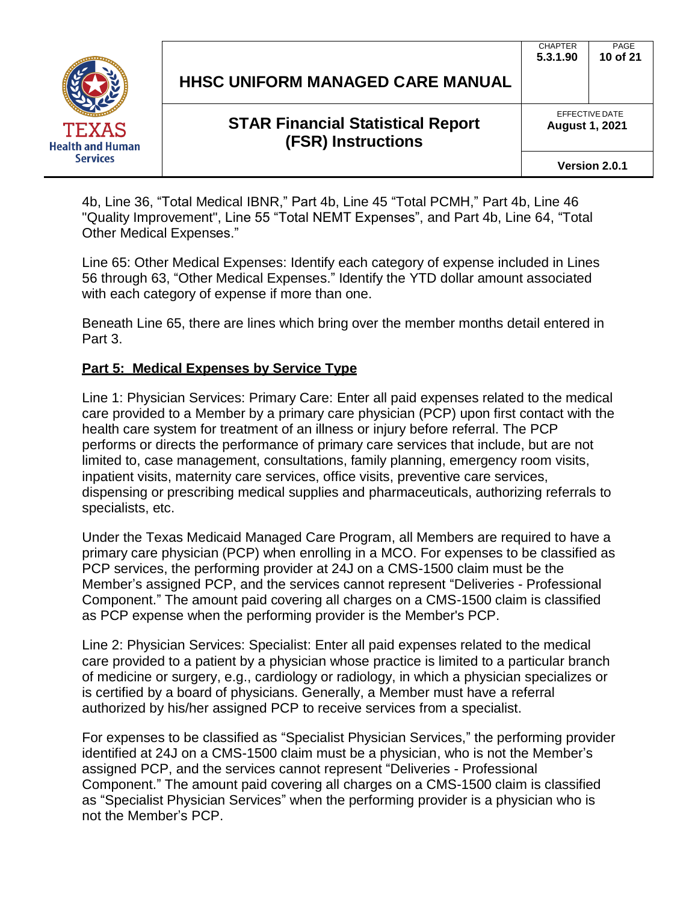

## **STAR Financial Statistical Report (FSR) Instructions**

EFFECTIVE DATE

PAGE **10 of 21**

**CHAPTER 5.3.1.90**

4b, Line 36, "Total Medical IBNR," Part 4b, Line 45 "Total PCMH," Part 4b, Line 46 "Quality Improvement", Line 55 "Total NEMT Expenses", and Part 4b, Line 64, "Total Other Medical Expenses."

Line 65: Other Medical Expenses: Identify each category of expense included in Lines 56 through 63, "Other Medical Expenses." Identify the YTD dollar amount associated with each category of expense if more than one.

Beneath Line 65, there are lines which bring over the member months detail entered in Part 3.

## **Part 5: Medical Expenses by Service Type**

Line 1: Physician Services: Primary Care: Enter all paid expenses related to the medical care provided to a Member by a primary care physician (PCP) upon first contact with the health care system for treatment of an illness or injury before referral. The PCP performs or directs the performance of primary care services that include, but are not limited to, case management, consultations, family planning, emergency room visits, inpatient visits, maternity care services, office visits, preventive care services, dispensing or prescribing medical supplies and pharmaceuticals, authorizing referrals to specialists, etc.

Under the Texas Medicaid Managed Care Program, all Members are required to have a primary care physician (PCP) when enrolling in a MCO. For expenses to be classified as PCP services, the performing provider at 24J on a CMS-1500 claim must be the Member's assigned PCP, and the services cannot represent "Deliveries - Professional Component." The amount paid covering all charges on a CMS-1500 claim is classified as PCP expense when the performing provider is the Member's PCP.

Line 2: Physician Services: Specialist: Enter all paid expenses related to the medical care provided to a patient by a physician whose practice is limited to a particular branch of medicine or surgery, e.g., cardiology or radiology, in which a physician specializes or is certified by a board of physicians. Generally, a Member must have a referral authorized by his/her assigned PCP to receive services from a specialist.

For expenses to be classified as "Specialist Physician Services," the performing provider identified at 24J on a CMS-1500 claim must be a physician, who is not the Member's assigned PCP, and the services cannot represent "Deliveries - Professional Component." The amount paid covering all charges on a CMS-1500 claim is classified as "Specialist Physician Services" when the performing provider is a physician who is not the Member's PCP.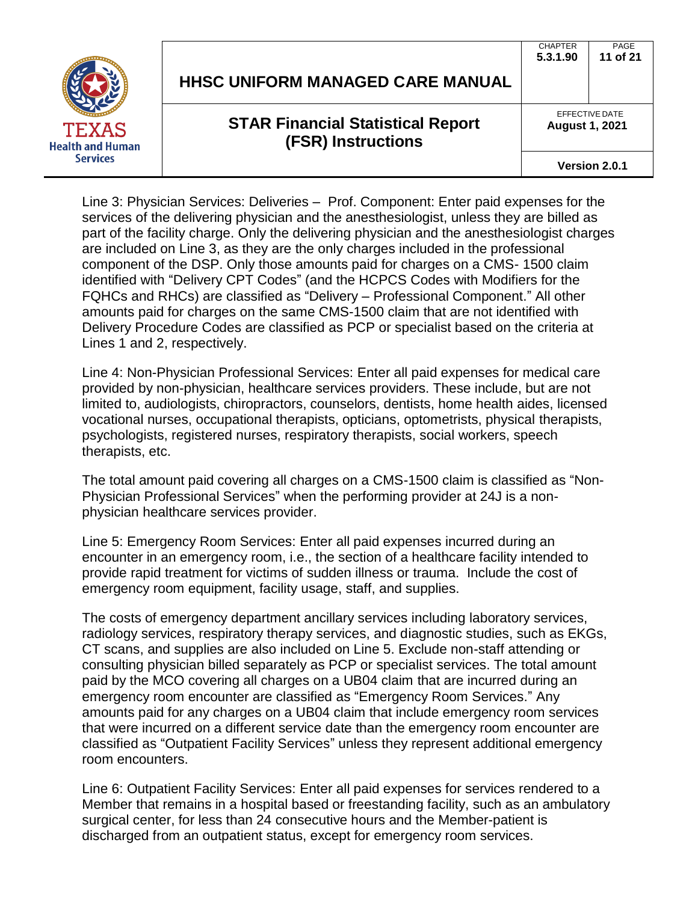

# **STAR Financial Statistical Report (FSR) Instructions**

EFFECTIVE DATE

PAGE **11 of 21**

**CHAPTER 5.3.1.90**

**August 1, 2021**

**Version 2.0.1**

Line 3: Physician Services: Deliveries – Prof. Component: Enter paid expenses for the services of the delivering physician and the anesthesiologist, unless they are billed as part of the facility charge. Only the delivering physician and the anesthesiologist charges are included on Line 3, as they are the only charges included in the professional component of the DSP. Only those amounts paid for charges on a CMS- 1500 claim identified with "Delivery CPT Codes" (and the HCPCS Codes with Modifiers for the FQHCs and RHCs) are classified as "Delivery – Professional Component." All other amounts paid for charges on the same CMS-1500 claim that are not identified with Delivery Procedure Codes are classified as PCP or specialist based on the criteria at Lines 1 and 2, respectively.

Line 4: Non-Physician Professional Services: Enter all paid expenses for medical care provided by non-physician, healthcare services providers. These include, but are not limited to, audiologists, chiropractors, counselors, dentists, home health aides, licensed vocational nurses, occupational therapists, opticians, optometrists, physical therapists, psychologists, registered nurses, respiratory therapists, social workers, speech therapists, etc.

The total amount paid covering all charges on a CMS-1500 claim is classified as "Non-Physician Professional Services" when the performing provider at 24J is a nonphysician healthcare services provider.

Line 5: Emergency Room Services: Enter all paid expenses incurred during an encounter in an emergency room, i.e., the section of a healthcare facility intended to provide rapid treatment for victims of sudden illness or trauma. Include the cost of emergency room equipment, facility usage, staff, and supplies.

The costs of emergency department ancillary services including laboratory services, radiology services, respiratory therapy services, and diagnostic studies, such as EKGs, CT scans, and supplies are also included on Line 5. Exclude non-staff attending or consulting physician billed separately as PCP or specialist services. The total amount paid by the MCO covering all charges on a UB04 claim that are incurred during an emergency room encounter are classified as "Emergency Room Services." Any amounts paid for any charges on a UB04 claim that include emergency room services that were incurred on a different service date than the emergency room encounter are classified as "Outpatient Facility Services" unless they represent additional emergency room encounters.

Line 6: Outpatient Facility Services: Enter all paid expenses for services rendered to a Member that remains in a hospital based or freestanding facility, such as an ambulatory surgical center, for less than 24 consecutive hours and the Member-patient is discharged from an outpatient status, except for emergency room services.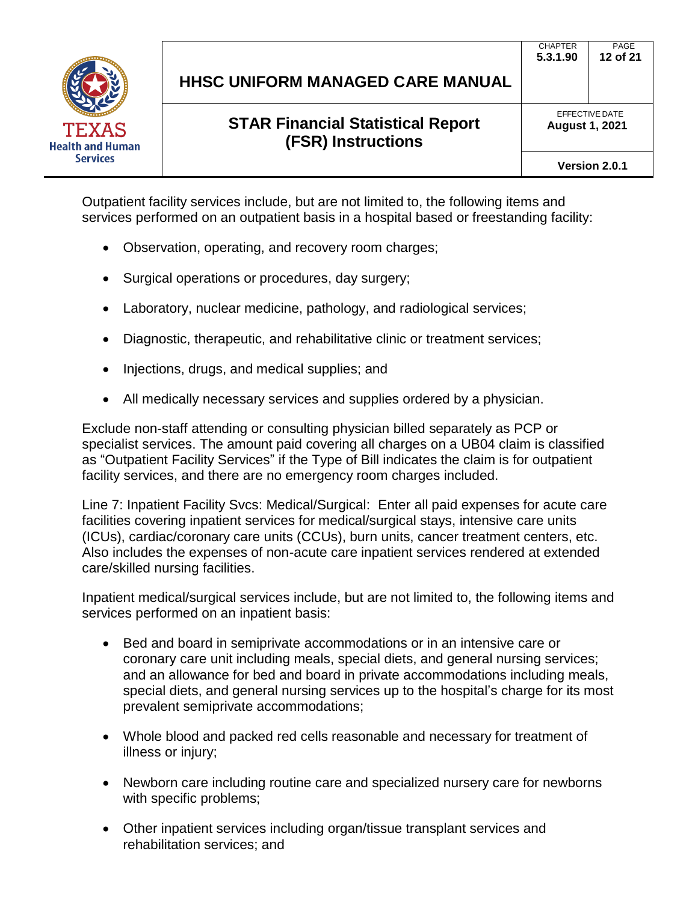

PAGE **12 of 21**

CHAPTER **5.3.1.90**

> EFFECTIVE DATE **August 1, 2021**

Outpatient facility services include, but are not limited to, the following items and services performed on an outpatient basis in a hospital based or freestanding facility:

- Observation, operating, and recovery room charges;
- Surgical operations or procedures, day surgery;
- Laboratory, nuclear medicine, pathology, and radiological services;
- Diagnostic, therapeutic, and rehabilitative clinic or treatment services;
- Injections, drugs, and medical supplies; and
- All medically necessary services and supplies ordered by a physician.

Exclude non-staff attending or consulting physician billed separately as PCP or specialist services. The amount paid covering all charges on a UB04 claim is classified as "Outpatient Facility Services" if the Type of Bill indicates the claim is for outpatient facility services, and there are no emergency room charges included.

Line 7: Inpatient Facility Svcs: Medical/Surgical: Enter all paid expenses for acute care facilities covering inpatient services for medical/surgical stays, intensive care units (ICUs), cardiac/coronary care units (CCUs), burn units, cancer treatment centers, etc. Also includes the expenses of non-acute care inpatient services rendered at extended care/skilled nursing facilities.

Inpatient medical/surgical services include, but are not limited to, the following items and services performed on an inpatient basis:

- Bed and board in semiprivate accommodations or in an intensive care or coronary care unit including meals, special diets, and general nursing services; and an allowance for bed and board in private accommodations including meals, special diets, and general nursing services up to the hospital's charge for its most prevalent semiprivate accommodations;
- Whole blood and packed red cells reasonable and necessary for treatment of illness or injury;
- Newborn care including routine care and specialized nursery care for newborns with specific problems;
- Other inpatient services including organ/tissue transplant services and rehabilitation services; and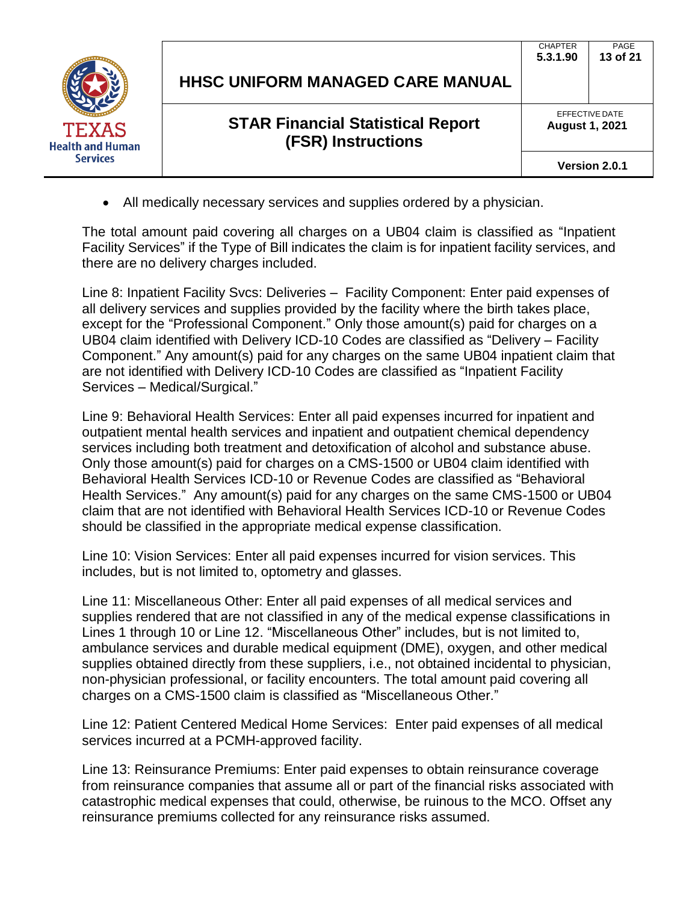|                                         |                                                                       | <b>CHAPTER</b><br>5.3.1.90 | PAGE<br>13 of 21 |  |
|-----------------------------------------|-----------------------------------------------------------------------|----------------------------|------------------|--|
|                                         | <b>HHSC UNIFORM MANAGED CARE MANUAL</b>                               |                            |                  |  |
| <b>TEXAS</b><br><b>Health and Human</b> | <b>STAR Financial Statistical Report</b><br><b>(FSR) Instructions</b> | <b>August 1, 2021</b>      | EFFECTIVE DATE   |  |
| <b>Services</b>                         |                                                                       |                            | Version 2.0.1    |  |

• All medically necessary services and supplies ordered by a physician.

The total amount paid covering all charges on a UB04 claim is classified as "Inpatient Facility Services" if the Type of Bill indicates the claim is for inpatient facility services, and there are no delivery charges included.

Line 8: Inpatient Facility Svcs: Deliveries – Facility Component: Enter paid expenses of all delivery services and supplies provided by the facility where the birth takes place, except for the "Professional Component." Only those amount(s) paid for charges on a UB04 claim identified with Delivery ICD-10 Codes are classified as "Delivery – Facility Component." Any amount(s) paid for any charges on the same UB04 inpatient claim that are not identified with Delivery ICD-10 Codes are classified as "Inpatient Facility Services – Medical/Surgical."

Line 9: Behavioral Health Services: Enter all paid expenses incurred for inpatient and outpatient mental health services and inpatient and outpatient chemical dependency services including both treatment and detoxification of alcohol and substance abuse. Only those amount(s) paid for charges on a CMS-1500 or UB04 claim identified with Behavioral Health Services ICD-10 or Revenue Codes are classified as "Behavioral Health Services." Any amount(s) paid for any charges on the same CMS-1500 or UB04 claim that are not identified with Behavioral Health Services ICD-10 or Revenue Codes should be classified in the appropriate medical expense classification.

Line 10: Vision Services: Enter all paid expenses incurred for vision services. This includes, but is not limited to, optometry and glasses.

Line 11: Miscellaneous Other: Enter all paid expenses of all medical services and supplies rendered that are not classified in any of the medical expense classifications in Lines 1 through 10 or Line 12. "Miscellaneous Other" includes, but is not limited to, ambulance services and durable medical equipment (DME), oxygen, and other medical supplies obtained directly from these suppliers, i.e., not obtained incidental to physician, non-physician professional, or facility encounters. The total amount paid covering all charges on a CMS-1500 claim is classified as "Miscellaneous Other."

Line 12: Patient Centered Medical Home Services: Enter paid expenses of all medical services incurred at a PCMH-approved facility.

Line 13: Reinsurance Premiums: Enter paid expenses to obtain reinsurance coverage from reinsurance companies that assume all or part of the financial risks associated with catastrophic medical expenses that could, otherwise, be ruinous to the MCO. Offset any reinsurance premiums collected for any reinsurance risks assumed.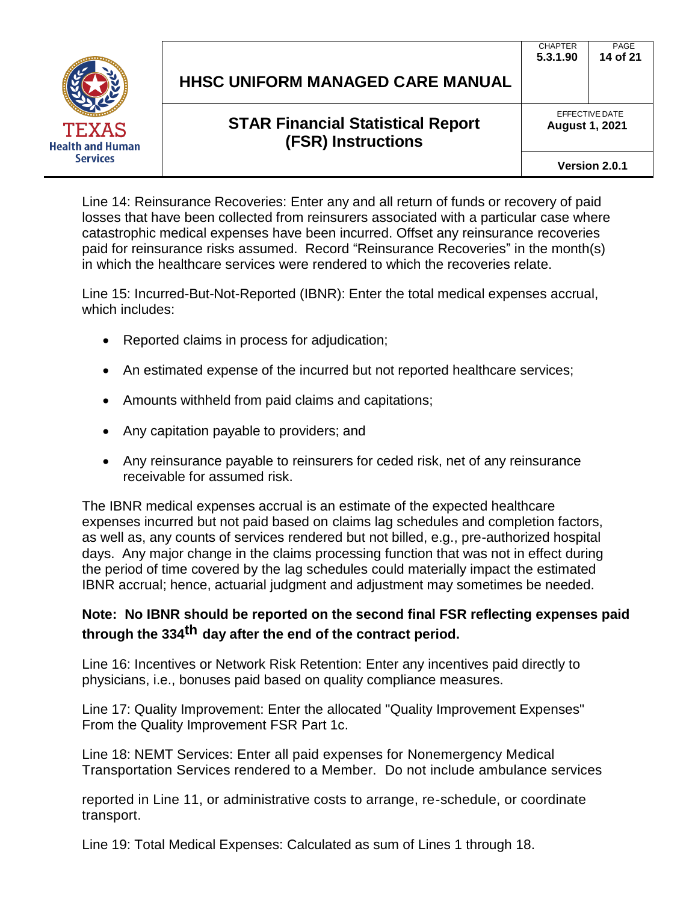

| HHSC UNIFORM MANAGED CARE MANUAL |  |
|----------------------------------|--|
|----------------------------------|--|

PAGE **14 of 21**

CHAPTER **5.3.1.90**

> EFFECTIVE DATE **August 1, 2021**

Line 14: Reinsurance Recoveries: Enter any and all return of funds or recovery of paid losses that have been collected from reinsurers associated with a particular case where catastrophic medical expenses have been incurred. Offset any reinsurance recoveries paid for reinsurance risks assumed. Record "Reinsurance Recoveries" in the month(s) in which the healthcare services were rendered to which the recoveries relate.

Line 15: Incurred-But-Not-Reported (IBNR): Enter the total medical expenses accrual, which includes:

- Reported claims in process for adjudication;
- An estimated expense of the incurred but not reported healthcare services;
- Amounts withheld from paid claims and capitations;
- Any capitation payable to providers; and
- Any reinsurance payable to reinsurers for ceded risk, net of any reinsurance receivable for assumed risk.

The IBNR medical expenses accrual is an estimate of the expected healthcare expenses incurred but not paid based on claims lag schedules and completion factors, as well as, any counts of services rendered but not billed, e.g., pre-authorized hospital days. Any major change in the claims processing function that was not in effect during the period of time covered by the lag schedules could materially impact the estimated IBNR accrual; hence, actuarial judgment and adjustment may sometimes be needed.

# **Note: No IBNR should be reported on the second final FSR reflecting expenses paid through the 334 th day after the end of the contract period.**

Line 16: Incentives or Network Risk Retention: Enter any incentives paid directly to physicians, i.e., bonuses paid based on quality compliance measures.

Line 17: Quality Improvement: Enter the allocated "Quality Improvement Expenses" From the Quality Improvement FSR Part 1c.

Line 18: NEMT Services: Enter all paid expenses for Nonemergency Medical Transportation Services rendered to a Member. Do not include ambulance services

reported in Line 11, or administrative costs to arrange, re-schedule, or coordinate transport.

Line 19: Total Medical Expenses: Calculated as sum of Lines 1 through 18.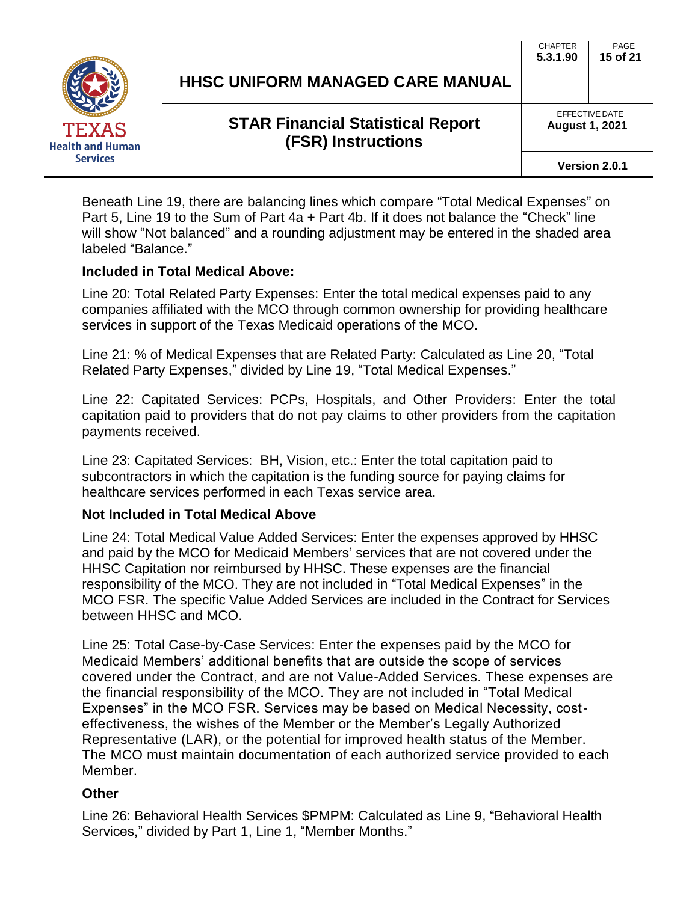

|  |  |  | HHSC UNIFORM MANAGED CARE MANUAL |
|--|--|--|----------------------------------|
|--|--|--|----------------------------------|

PAGE **15 of 21**

**CHAPTER 5.3.1.90**

> EFFECTIVE DATE **August 1, 2021**

> > **Version 2.0.1**

Beneath Line 19, there are balancing lines which compare "Total Medical Expenses" on Part 5, Line 19 to the Sum of Part 4a + Part 4b. If it does not balance the "Check" line will show "Not balanced" and a rounding adjustment may be entered in the shaded area labeled "Balance."

#### **Included in Total Medical Above:**

Line 20: Total Related Party Expenses: Enter the total medical expenses paid to any companies affiliated with the MCO through common ownership for providing healthcare services in support of the Texas Medicaid operations of the MCO.

Line 21: % of Medical Expenses that are Related Party: Calculated as Line 20, "Total Related Party Expenses," divided by Line 19, "Total Medical Expenses."

Line 22: Capitated Services: PCPs, Hospitals, and Other Providers: Enter the total capitation paid to providers that do not pay claims to other providers from the capitation payments received.

Line 23: Capitated Services: BH, Vision, etc.: Enter the total capitation paid to subcontractors in which the capitation is the funding source for paying claims for healthcare services performed in each Texas service area.

#### **Not Included in Total Medical Above**

Line 24: Total Medical Value Added Services: Enter the expenses approved by HHSC and paid by the MCO for Medicaid Members' services that are not covered under the HHSC Capitation nor reimbursed by HHSC. These expenses are the financial responsibility of the MCO. They are not included in "Total Medical Expenses" in the MCO FSR. The specific Value Added Services are included in the Contract for Services between HHSC and MCO.

Line 25: Total Case-by-Case Services: Enter the expenses paid by the MCO for Medicaid Members' additional benefits that are outside the scope of services covered under the Contract, and are not Value-Added Services. These expenses are the financial responsibility of the MCO. They are not included in "Total Medical Expenses" in the MCO FSR. Services may be based on Medical Necessity, costeffectiveness, the wishes of the Member or the Member's Legally Authorized Representative (LAR), or the potential for improved health status of the Member. The MCO must maintain documentation of each authorized service provided to each Member.

#### **Other**

Line 26: Behavioral Health Services \$PMPM: Calculated as Line 9, "Behavioral Health Services," divided by Part 1, Line 1, "Member Months."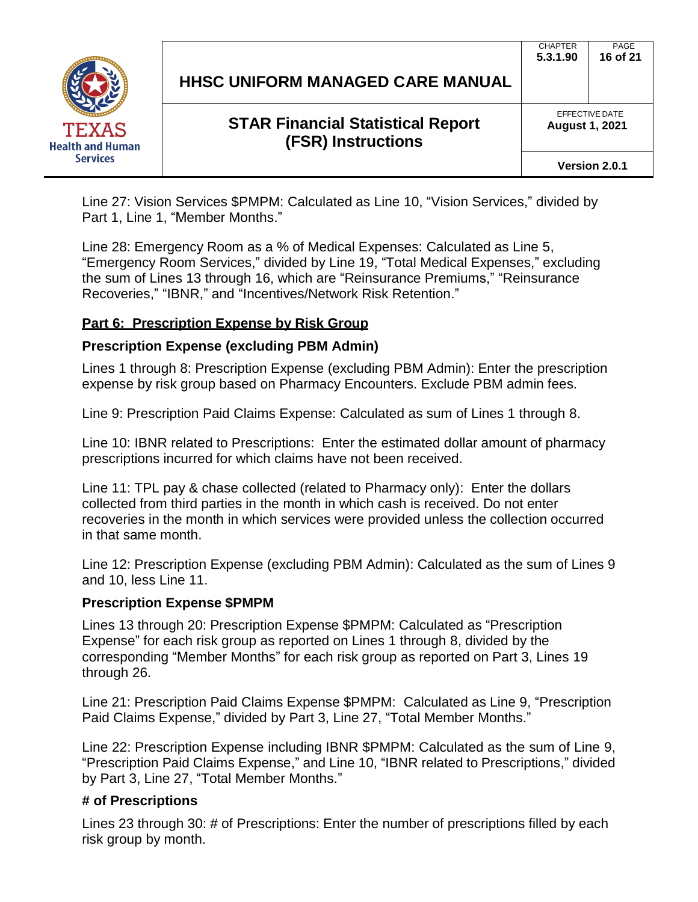

PAGE **16 of 21**

CHAPTER **5.3.1.90**

> EFFECTIVE DATE **August 1, 2021**

> > **Version 2.0.1**

Line 27: Vision Services \$PMPM: Calculated as Line 10, "Vision Services," divided by Part 1, Line 1, "Member Months."

Line 28: Emergency Room as a % of Medical Expenses: Calculated as Line 5, "Emergency Room Services," divided by Line 19, "Total Medical Expenses," excluding the sum of Lines 13 through 16, which are "Reinsurance Premiums," "Reinsurance Recoveries," "IBNR," and "Incentives/Network Risk Retention."

## **Part 6: Prescription Expense by Risk Group**

## **Prescription Expense (excluding PBM Admin)**

Lines 1 through 8: Prescription Expense (excluding PBM Admin): Enter the prescription expense by risk group based on Pharmacy Encounters. Exclude PBM admin fees.

Line 9: Prescription Paid Claims Expense: Calculated as sum of Lines 1 through 8.

Line 10: IBNR related to Prescriptions: Enter the estimated dollar amount of pharmacy prescriptions incurred for which claims have not been received.

Line 11: TPL pay & chase collected (related to Pharmacy only): Enter the dollars collected from third parties in the month in which cash is received. Do not enter recoveries in the month in which services were provided unless the collection occurred in that same month.

Line 12: Prescription Expense (excluding PBM Admin): Calculated as the sum of Lines 9 and 10, less Line 11.

#### **Prescription Expense \$PMPM**

Lines 13 through 20: Prescription Expense \$PMPM: Calculated as "Prescription Expense" for each risk group as reported on Lines 1 through 8, divided by the corresponding "Member Months" for each risk group as reported on Part 3, Lines 19 through 26.

Line 21: Prescription Paid Claims Expense \$PMPM: Calculated as Line 9, "Prescription Paid Claims Expense," divided by Part 3, Line 27, "Total Member Months."

Line 22: Prescription Expense including IBNR \$PMPM: Calculated as the sum of Line 9, "Prescription Paid Claims Expense," and Line 10, "IBNR related to Prescriptions," divided by Part 3, Line 27, "Total Member Months."

## **# of Prescriptions**

Lines 23 through 30: # of Prescriptions: Enter the number of prescriptions filled by each risk group by month.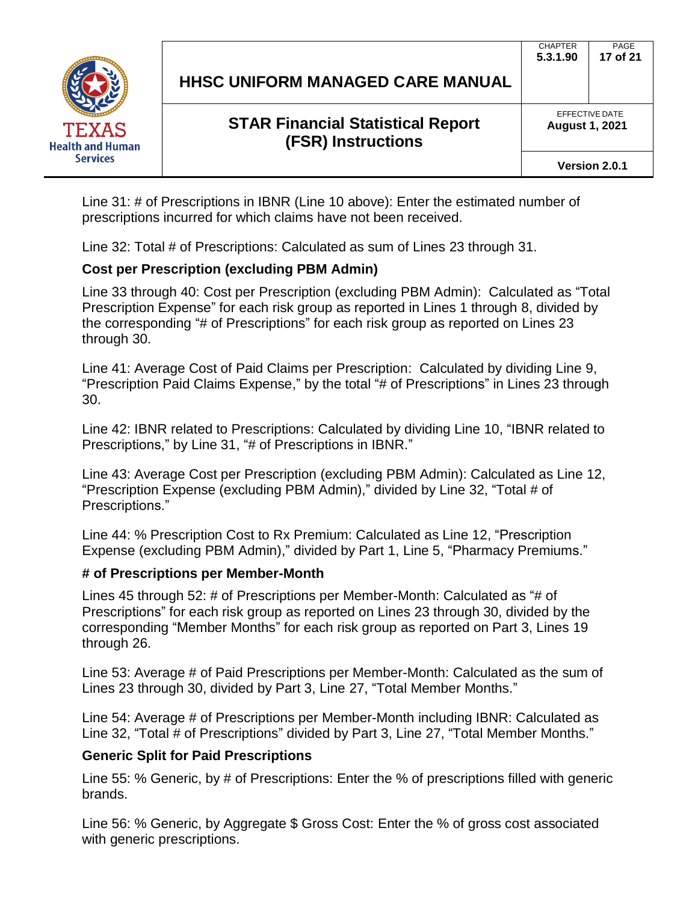

PAGE

CHAPTER

EFFECTIVE DATE **August 1, 2021**

**Version 2.0.1**

Line 31: # of Prescriptions in IBNR (Line 10 above): Enter the estimated number of prescriptions incurred for which claims have not been received.

Line 32: Total # of Prescriptions: Calculated as sum of Lines 23 through 31.

## **Cost per Prescription (excluding PBM Admin)**

Line 33 through 40: Cost per Prescription (excluding PBM Admin): Calculated as "Total Prescription Expense" for each risk group as reported in Lines 1 through 8, divided by the corresponding "# of Prescriptions" for each risk group as reported on Lines 23 through 30.

Line 41: Average Cost of Paid Claims per Prescription: Calculated by dividing Line 9, "Prescription Paid Claims Expense," by the total "# of Prescriptions" in Lines 23 through 30.

Line 42: IBNR related to Prescriptions: Calculated by dividing Line 10, "IBNR related to Prescriptions," by Line 31, "# of Prescriptions in IBNR."

Line 43: Average Cost per Prescription (excluding PBM Admin): Calculated as Line 12, "Prescription Expense (excluding PBM Admin)," divided by Line 32, "Total # of Prescriptions."

Line 44: % Prescription Cost to Rx Premium: Calculated as Line 12, "Prescription Expense (excluding PBM Admin)," divided by Part 1, Line 5, "Pharmacy Premiums."

#### **# of Prescriptions per Member-Month**

Lines 45 through 52: # of Prescriptions per Member-Month: Calculated as "# of Prescriptions" for each risk group as reported on Lines 23 through 30, divided by the corresponding "Member Months" for each risk group as reported on Part 3, Lines 19 through 26.

Line 53: Average # of Paid Prescriptions per Member-Month: Calculated as the sum of Lines 23 through 30, divided by Part 3, Line 27, "Total Member Months."

Line 54: Average # of Prescriptions per Member-Month including IBNR: Calculated as Line 32, "Total # of Prescriptions" divided by Part 3, Line 27, "Total Member Months."

#### **Generic Split for Paid Prescriptions**

Line 55: % Generic, by # of Prescriptions: Enter the % of prescriptions filled with generic brands.

Line 56: % Generic, by Aggregate \$ Gross Cost: Enter the % of gross cost associated with generic prescriptions.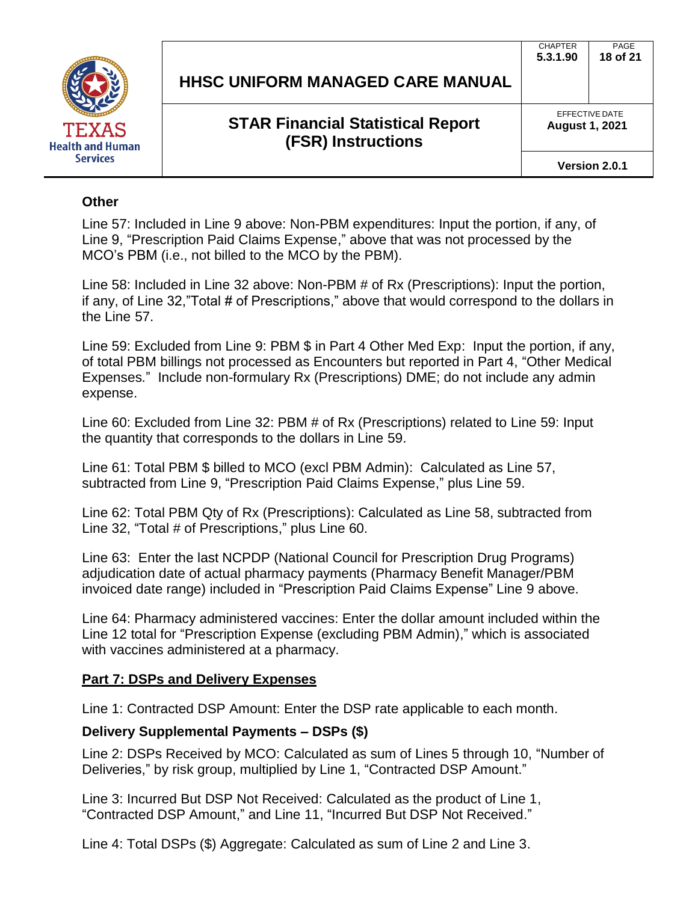

**5.3.1.90 18 of 21**

PAGE

**CHAPTER** 

EFFECTIVE DATE **August 1, 2021**

**Version 2.0.1**

#### **Other**

Line 57: Included in Line 9 above: Non-PBM expenditures: Input the portion, if any, of Line 9, "Prescription Paid Claims Expense," above that was not processed by the MCO's PBM (i.e., not billed to the MCO by the PBM).

Line 58: Included in Line 32 above: Non-PBM # of Rx (Prescriptions): Input the portion, if any, of Line 32,"Total # of Prescriptions," above that would correspond to the dollars in the Line 57.

Line 59: Excluded from Line 9: PBM \$ in Part 4 Other Med Exp: Input the portion, if any, of total PBM billings not processed as Encounters but reported in Part 4, "Other Medical Expenses." Include non-formulary Rx (Prescriptions) DME; do not include any admin expense.

Line 60: Excluded from Line 32: PBM # of Rx (Prescriptions) related to Line 59: Input the quantity that corresponds to the dollars in Line 59.

Line 61: Total PBM \$ billed to MCO (excl PBM Admin): Calculated as Line 57, subtracted from Line 9, "Prescription Paid Claims Expense," plus Line 59.

Line 62: Total PBM Qty of Rx (Prescriptions): Calculated as Line 58, subtracted from Line 32, "Total # of Prescriptions," plus Line 60.

Line 63: Enter the last NCPDP (National Council for Prescription Drug Programs) adjudication date of actual pharmacy payments (Pharmacy Benefit Manager/PBM invoiced date range) included in "Prescription Paid Claims Expense" Line 9 above.

Line 64: Pharmacy administered vaccines: Enter the dollar amount included within the Line 12 total for "Prescription Expense (excluding PBM Admin)," which is associated with vaccines administered at a pharmacy.

#### **Part 7: DSPs and Delivery Expenses**

Line 1: Contracted DSP Amount: Enter the DSP rate applicable to each month.

#### **Delivery Supplemental Payments – DSPs (\$)**

Line 2: DSPs Received by MCO: Calculated as sum of Lines 5 through 10, "Number of Deliveries," by risk group, multiplied by Line 1, "Contracted DSP Amount."

Line 3: Incurred But DSP Not Received: Calculated as the product of Line 1, "Contracted DSP Amount," and Line 11, "Incurred But DSP Not Received."

Line 4: Total DSPs (\$) Aggregate: Calculated as sum of Line 2 and Line 3.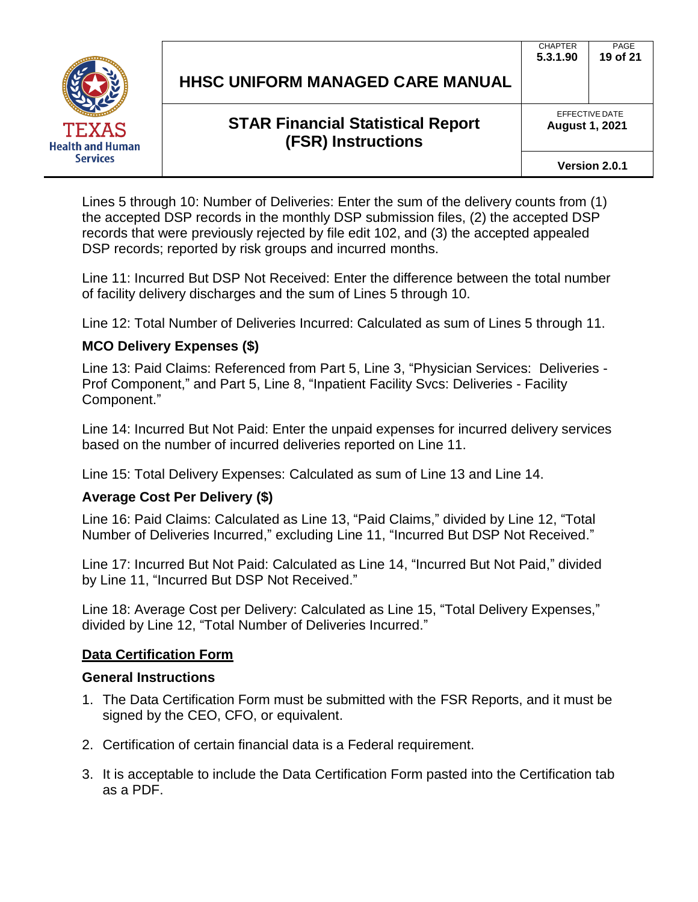

| HHSC UNIFORM MANAGED CARE MANUAL |  |  |
|----------------------------------|--|--|
|                                  |  |  |

EFFECTIVE DATE **August 1, 2021**

**Version 2.0.1**

Lines 5 through 10: Number of Deliveries: Enter the sum of the delivery counts from (1) the accepted DSP records in the monthly DSP submission files, (2) the accepted DSP records that were previously rejected by file edit 102, and (3) the accepted appealed DSP records; reported by risk groups and incurred months.

Line 11: Incurred But DSP Not Received: Enter the difference between the total number of facility delivery discharges and the sum of Lines 5 through 10.

Line 12: Total Number of Deliveries Incurred: Calculated as sum of Lines 5 through 11.

## **MCO Delivery Expenses (\$)**

Line 13: Paid Claims: Referenced from Part 5, Line 3, "Physician Services: Deliveries - Prof Component," and Part 5, Line 8, "Inpatient Facility Svcs: Deliveries - Facility Component."

Line 14: Incurred But Not Paid: Enter the unpaid expenses for incurred delivery services based on the number of incurred deliveries reported on Line 11.

Line 15: Total Delivery Expenses: Calculated as sum of Line 13 and Line 14.

## **Average Cost Per Delivery (\$)**

Line 16: Paid Claims: Calculated as Line 13, "Paid Claims," divided by Line 12, "Total Number of Deliveries Incurred," excluding Line 11, "Incurred But DSP Not Received."

Line 17: Incurred But Not Paid: Calculated as Line 14, "Incurred But Not Paid," divided by Line 11, "Incurred But DSP Not Received."

Line 18: Average Cost per Delivery: Calculated as Line 15, "Total Delivery Expenses," divided by Line 12, "Total Number of Deliveries Incurred."

## **Data Certification Form**

## **General Instructions**

- 1. The Data Certification Form must be submitted with the FSR Reports, and it must be signed by the CEO, CFO, or equivalent.
- 2. Certification of certain financial data is a Federal requirement.
- 3. It is acceptable to include the Data Certification Form pasted into the Certification tab as a PDF.